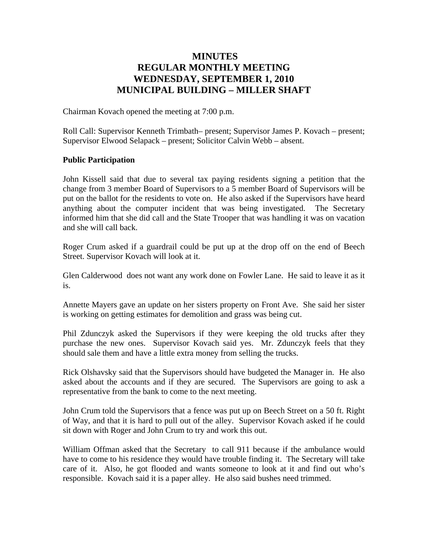# **MINUTES REGULAR MONTHLY MEETING WEDNESDAY, SEPTEMBER 1, 2010 MUNICIPAL BUILDING – MILLER SHAFT**

Chairman Kovach opened the meeting at 7:00 p.m.

Roll Call: Supervisor Kenneth Trimbath– present; Supervisor James P. Kovach – present; Supervisor Elwood Selapack – present; Solicitor Calvin Webb – absent.

#### **Public Participation**

John Kissell said that due to several tax paying residents signing a petition that the change from 3 member Board of Supervisors to a 5 member Board of Supervisors will be put on the ballot for the residents to vote on. He also asked if the Supervisors have heard anything about the computer incident that was being investigated. The Secretary informed him that she did call and the State Trooper that was handling it was on vacation and she will call back.

Roger Crum asked if a guardrail could be put up at the drop off on the end of Beech Street. Supervisor Kovach will look at it.

Glen Calderwood does not want any work done on Fowler Lane. He said to leave it as it is.

Annette Mayers gave an update on her sisters property on Front Ave. She said her sister is working on getting estimates for demolition and grass was being cut.

Phil Zdunczyk asked the Supervisors if they were keeping the old trucks after they purchase the new ones. Supervisor Kovach said yes. Mr. Zdunczyk feels that they should sale them and have a little extra money from selling the trucks.

Rick Olshavsky said that the Supervisors should have budgeted the Manager in. He also asked about the accounts and if they are secured. The Supervisors are going to ask a representative from the bank to come to the next meeting.

John Crum told the Supervisors that a fence was put up on Beech Street on a 50 ft. Right of Way, and that it is hard to pull out of the alley. Supervisor Kovach asked if he could sit down with Roger and John Crum to try and work this out.

William Offman asked that the Secretary to call 911 because if the ambulance would have to come to his residence they would have trouble finding it. The Secretary will take care of it. Also, he got flooded and wants someone to look at it and find out who's responsible. Kovach said it is a paper alley. He also said bushes need trimmed.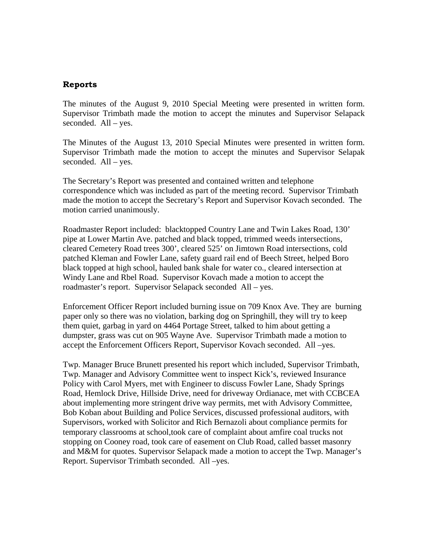#### **Reports**

The minutes of the August 9, 2010 Special Meeting were presented in written form. Supervisor Trimbath made the motion to accept the minutes and Supervisor Selapack seconded. All – yes.

The Minutes of the August 13, 2010 Special Minutes were presented in written form. Supervisor Trimbath made the motion to accept the minutes and Supervisor Selapak seconded. All – yes.

The Secretary's Report was presented and contained written and telephone correspondence which was included as part of the meeting record. Supervisor Trimbath made the motion to accept the Secretary's Report and Supervisor Kovach seconded. The motion carried unanimously.

Roadmaster Report included: blacktopped Country Lane and Twin Lakes Road, 130' pipe at Lower Martin Ave. patched and black topped, trimmed weeds intersections, cleared Cemetery Road trees 300', cleared 525' on Jimtown Road intersections, cold patched Kleman and Fowler Lane, safety guard rail end of Beech Street, helped Boro black topped at high school, hauled bank shale for water co., cleared intersection at Windy Lane and Rbel Road. Supervisor Kovach made a motion to accept the roadmaster's report. Supervisor Selapack seconded All – yes.

Enforcement Officer Report included burning issue on 709 Knox Ave. They are burning paper only so there was no violation, barking dog on Springhill, they will try to keep them quiet, garbag in yard on 4464 Portage Street, talked to him about getting a dumpster, grass was cut on 905 Wayne Ave. Supervisor Trimbath made a motion to accept the Enforcement Officers Report, Supervisor Kovach seconded. All –yes.

Twp. Manager Bruce Brunett presented his report which included, Supervisor Trimbath, Twp. Manager and Advisory Committee went to inspect Kick's, reviewed Insurance Policy with Carol Myers, met with Engineer to discuss Fowler Lane, Shady Springs Road, Hemlock Drive, Hillside Drive, need for driveway Ordianace, met with CCBCEA about implementing more stringent drive way permits, met with Advisory Committee, Bob Koban about Building and Police Services, discussed professional auditors, with Supervisors, worked with Solicitor and Rich Bernazoli about compliance permits for temporary classrooms at school,took care of complaint about amfire coal trucks not stopping on Cooney road, took care of easement on Club Road, called basset masonry and M&M for quotes. Supervisor Selapack made a motion to accept the Twp. Manager's Report. Supervisor Trimbath seconded. All –yes.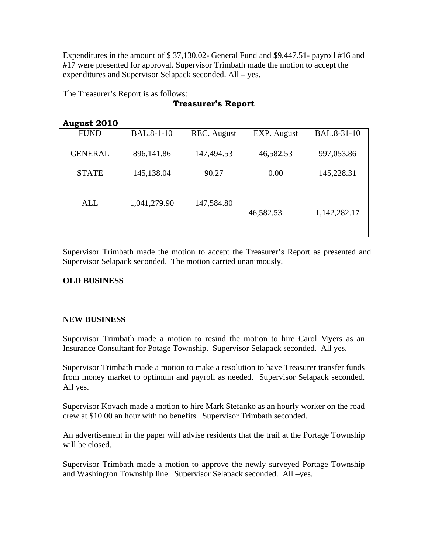Expenditures in the amount of \$ 37,130.02- General Fund and \$9,447.51- payroll #16 and #17 were presented for approval. Supervisor Trimbath made the motion to accept the expenditures and Supervisor Selapack seconded. All – yes.

The Treasurer's Report is as follows:

## **Treasurer's Report**

| 11454964010    |                   |             |             |              |
|----------------|-------------------|-------------|-------------|--------------|
| <b>FUND</b>    | <b>BAL.8-1-10</b> | REC. August | EXP. August | BAL.8-31-10  |
|                |                   |             |             |              |
| <b>GENERAL</b> | 896,141.86        | 147,494.53  | 46,582.53   | 997,053.86   |
|                |                   |             |             |              |
| <b>STATE</b>   | 145,138.04        | 90.27       | 0.00        | 145,228.31   |
|                |                   |             |             |              |
|                |                   |             |             |              |
| ALL            | 1,041,279.90      | 147,584.80  |             |              |
|                |                   |             | 46,582.53   | 1,142,282.17 |
|                |                   |             |             |              |
|                |                   |             |             |              |

#### **August 2010**

Supervisor Trimbath made the motion to accept the Treasurer's Report as presented and Supervisor Selapack seconded. The motion carried unanimously.

## **OLD BUSINESS**

#### **NEW BUSINESS**

Supervisor Trimbath made a motion to resind the motion to hire Carol Myers as an Insurance Consultant for Potage Township. Supervisor Selapack seconded. All yes.

Supervisor Trimbath made a motion to make a resolution to have Treasurer transfer funds from money market to optimum and payroll as needed. Supervisor Selapack seconded. All yes.

Supervisor Kovach made a motion to hire Mark Stefanko as an hourly worker on the road crew at \$10.00 an hour with no benefits. Supervisor Trimbath seconded.

An advertisement in the paper will advise residents that the trail at the Portage Township will be closed.

Supervisor Trimbath made a motion to approve the newly surveyed Portage Township and Washington Township line. Supervisor Selapack seconded. All –yes.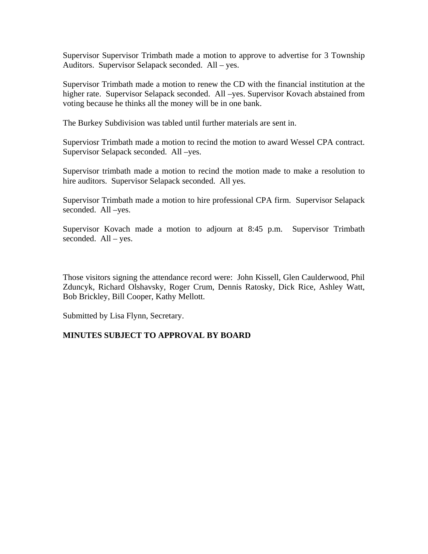Supervisor Supervisor Trimbath made a motion to approve to advertise for 3 Township Auditors. Supervisor Selapack seconded. All – yes.

Supervisor Trimbath made a motion to renew the CD with the financial institution at the higher rate. Supervisor Selapack seconded. All –yes. Supervisor Kovach abstained from voting because he thinks all the money will be in one bank.

The Burkey Subdivision was tabled until further materials are sent in.

Superviosr Trimbath made a motion to recind the motion to award Wessel CPA contract. Supervisor Selapack seconded. All –yes.

Supervisor trimbath made a motion to recind the motion made to make a resolution to hire auditors. Supervisor Selapack seconded. All yes.

Supervisor Trimbath made a motion to hire professional CPA firm. Supervisor Selapack seconded. All –yes.

Supervisor Kovach made a motion to adjourn at 8:45 p.m. Supervisor Trimbath seconded. All – yes.

Those visitors signing the attendance record were: John Kissell, Glen Caulderwood, Phil Zduncyk, Richard Olshavsky, Roger Crum, Dennis Ratosky, Dick Rice, Ashley Watt, Bob Brickley, Bill Cooper, Kathy Mellott.

Submitted by Lisa Flynn, Secretary.

#### **MINUTES SUBJECT TO APPROVAL BY BOARD**